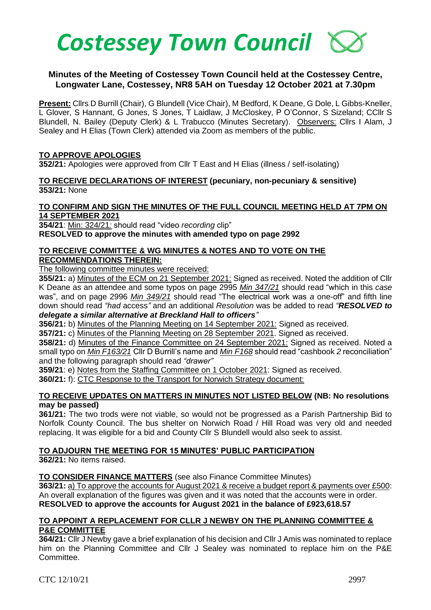

## **Minutes of the Meeting of Costessey Town Council held at the Costessey Centre, Longwater Lane, Costessey, NR8 5AH on Tuesday 12 October 2021 at 7.30pm**

**Present:** Cllrs D Burrill (Chair), G Blundell (Vice Chair), M Bedford, K Deane, G Dole, L Gibbs-Kneller, L Glover, S Hannant, G Jones, S Jones, T Laidlaw, J McCloskey, P O'Connor, S Sizeland; CCllr S Blundell, N. Bailey (Deputy Clerk) & L Trabucco (Minutes Secretary). Observers: Cllrs I Alam, J Sealey and H Elias (Town Clerk) attended via Zoom as members of the public.

### **TO APPROVE APOLOGIES**

**352/21:** Apologies were approved from Cllr T East and H Elias (illness / self-isolating)

**TO RECEIVE DECLARATIONS OF INTEREST (pecuniary, non-pecuniary & sensitive) 353/21:** None

#### **TO CONFIRM AND SIGN THE MINUTES OF THE FULL COUNCIL MEETING HELD AT 7PM ON 14 SEPTEMBER 2021**

**354/21**: Min: 324/21*:* should read "video *recording* clip" **RESOLVED to approve the minutes with amended typo on page 2992** 

#### **TO RECEIVE COMMITTEE & WG MINUTES & NOTES AND TO VOTE ON THE RECOMMENDATIONS THEREIN:**

The following committee minutes were received:

**355/21:** a) Minutes of the ECM on 21 September 2021: Signed as received. Noted the addition of Cllr K Deane as an attendee and some typos on page 2995 *Min 347/21* should read "which in this *case*  was", and on page 2996 *Min 349/21* should read "The electrical work was *a* one-off" and fifth line down should read *"had* access*"* and an additional *Resolution* was be added to read *"RESOLVED to delegate a similar alternative at Breckland Hall to officers"*

**356/21:** b) Minutes of the Planning Meeting on 14 September 2021: Signed as received.

**357/21:** c) Minutes of the Planning Meeting on 28 September 2021. Signed as received.

**358/21:** d) Minutes of the Finance Committee on 24 September 2021: Signed as received. Noted a small typo on *Min F163/21* Cllr D Burrill's name and *Min F168* should read "cashbook *2* reconciliation" and the following paragraph should read *"drawer"*

**359/21**: e) Notes from the Staffing Committee on 1 October 2021: Signed as received.

**360/21:** f): CTC Response to the Transport for Norwich Strategy document:

### **TO RECEIVE UPDATES ON MATTERS IN MINUTES NOT LISTED BELOW (NB: No resolutions may be passed)**

**361/21:** The two trods were not viable, so would not be progressed as a Parish Partnership Bid to Norfolk County Council. The bus shelter on Norwich Road / Hill Road was very old and needed replacing. It was eligible for a bid and County Cllr S Blundell would also seek to assist.

# **TO ADJOURN THE MEETING FOR 15 MINUTES' PUBLIC PARTICIPATION**

**362/21:** No items raised.

### **TO CONSIDER FINANCE MATTERS** (see also Finance Committee Minutes)

**363/21:** a) To approve the accounts for August 2021 & receive a budget report & payments over £500: An overall explanation of the figures was given and it was noted that the accounts were in order. **RESOLVED to approve the accounts for August 2021 in the balance of £923,618.57**

#### **TO APPOINT A REPLACEMENT FOR CLLR J NEWBY ON THE PLANNING COMMITTEE & P&E COMMITTEE**

**364/21:** Cllr J Newby gave a brief explanation of his decision and Cllr J Amis was nominated to replace him on the Planning Committee and Cllr J Sealey was nominated to replace him on the P&E Committee.